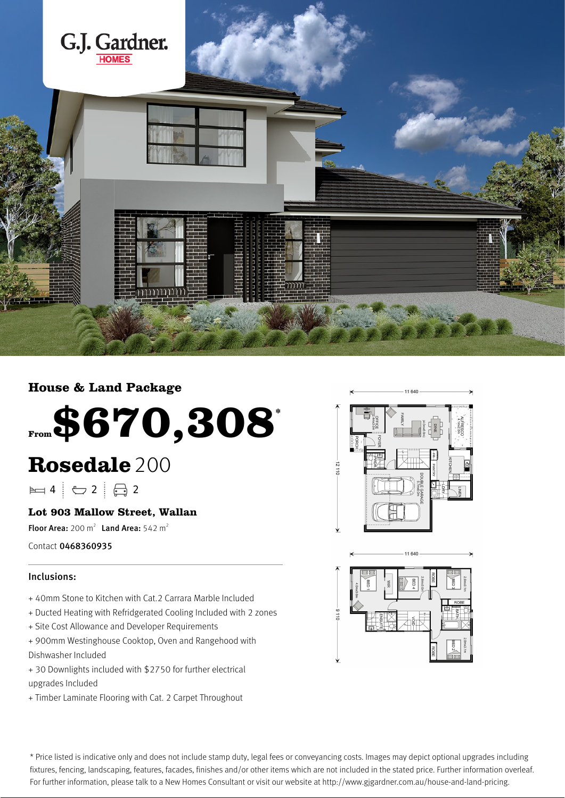

## **House & Land Package**

# **From\$670,308\***

## **Rosedale** 200

 $\blacktriangleright$  4  $\vdash$   $\ominus$  2  $\vdash$   $\ominus$  2

### **Lot 903 Mallow Street, Wallan**

Floor Area:  $200 \text{ m}^2$  Land Area:  $542 \text{ m}^2$ 

Contact 0468360935

#### Inclusions:

- + 40mm Stone to Kitchen with Cat.2 Carrara Marble Included
- + Ducted Heating with Refridgerated Cooling Included with 2 zones
- + Site Cost Allowance and Developer Requirements
- + 900mm Westinghouse Cooktop, Oven and Rangehood with Dishwasher Included
- + 30 Downlights included with \$2750 for further electrical upgrades Included
- + Timber Laminate Flooring with Cat. 2 Carpet Throughout





\* Price listed is indicative only and does not include stamp duty, legal fees or conveyancing costs. Images may depict optional upgrades including fixtures, fencing, landscaping, features, facades, finishes and/or other items which are not included in the stated price. Further information overleaf. For further information, please talk to a New Homes Consultant or visit our website at http://www.gjgardner.com.au/house-and-land-pricing.